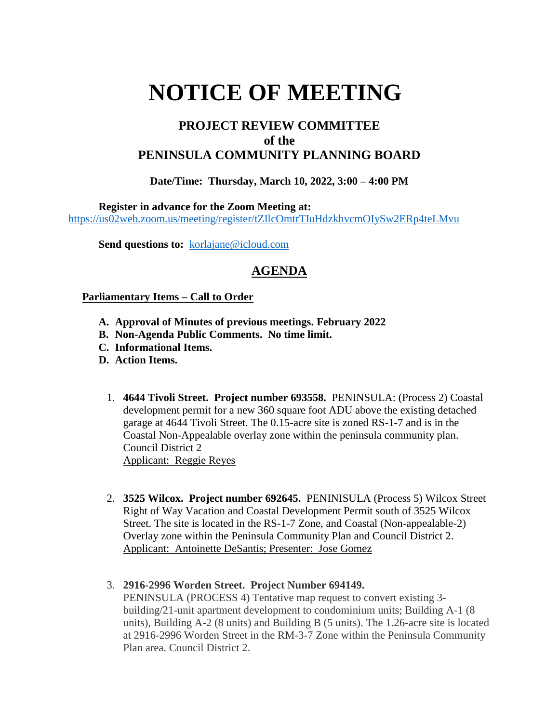# **NOTICE OF MEETING**

## **PROJECT REVIEW COMMITTEE of the PENINSULA COMMUNITY PLANNING BOARD**

#### **Date/Time: Thursday, March 10, 2022, 3:00 – 4:00 PM**

**Register in advance for the Zoom Meeting at:**

<https://us02web.zoom.us/meeting/register/tZIlcOmtrTIuHdzkhvcmOIySw2ERp4teLMvu>

Send questions to: [korlajane@icloud.com](mailto:korlajane@icloud.com)

## **AGENDA**

#### **Parliamentary Items – Call to Order**

- **A. Approval of Minutes of previous meetings. February 2022**
- **B. Non-Agenda Public Comments. No time limit.**
- **C. Informational Items.**
- **D. Action Items.** 
	- 1. **4644 Tivoli Street. Project number 693558.** PENINSULA: (Process 2) Coastal development permit for a new 360 square foot ADU above the existing detached garage at 4644 Tivoli Street. The 0.15-acre site is zoned RS-1-7 and is in the Coastal Non-Appealable overlay zone within the peninsula community plan. Council District 2 Applicant: Reggie Reyes
	- 2. **3525 Wilcox. Project number 692645.** PENINISULA (Process 5) Wilcox Street Right of Way Vacation and Coastal Development Permit south of 3525 Wilcox Street. The site is located in the RS-1-7 Zone, and Coastal (Non-appealable-2) Overlay zone within the Peninsula Community Plan and Council District 2. Applicant: Antoinette DeSantis; Presenter: Jose Gomez
	- 3. **2916-2996 Worden Street. Project Number 694149.** PENINSULA (PROCESS 4) Tentative map request to convert existing 3 building/21-unit apartment development to condominium units; Building A-1 (8 units), Building A-2 (8 units) and Building B (5 units). The 1.26-acre site is located at 2916-2996 Worden Street in the RM-3-7 Zone within the Peninsula Community Plan area. Council District 2.